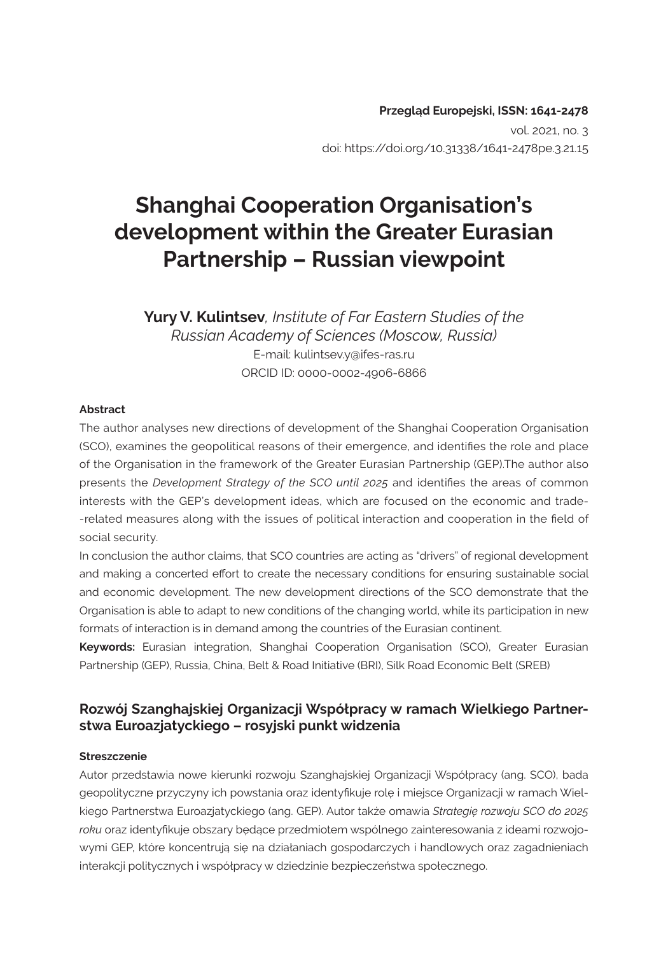#### **Przegląd Europejski, ISSN: 1641-2478**  vol. 2021, no. 3 doi: https://doi.org/10.31338/1641-2478pe.3.21.15

# **Shanghai Cooperation Organisation's development within the Greater Eurasian Partnership – Russian viewpoint**

**Yury V. Kulintsev***, Institute of Far Eastern Studies of the Russian Academy of Sciences (Moscow, Russia)* E-mail: kulintsev.y@ifes-ras.ru ORCID ID: 0000-0002-4906-6866

#### **Abstract**

The author analyses new directions of development of the Shanghai Cooperation Organisation (SCO), examines the geopolitical reasons of their emergence, and identifies the role and place of the Organisation in the framework of the Greater Eurasian Partnership (GEP).The author also presents the *Development Strategy of the SCO until 2025* and identifies the areas of common interests with the GEP's development ideas, which are focused on the economic and trade- -related measures along with the issues of political interaction and cooperation in the field of social security.

In conclusion the author claims, that SCO countries are acting as "drivers" of regional development and making a concerted effort to create the necessary conditions for ensuring sustainable social and economic development. The new development directions of the SCO demonstrate that the Organisation is able to adapt to new conditions of the changing world, while its participation in new formats of interaction is in demand among the countries of the Eurasian continent.

**Keywords:** Eurasian integration, Shanghai Cooperation Organisation (SCO), Greater Eurasian Partnership (GEP), Russia, China, Belt & Road Initiative (BRI), Silk Road Economic Belt (SREB)

#### **Rozwój Szanghajskiej Organizacji Współpracy w ramach Wielkiego Partnerstwa Euroazjatyckiego – rosyjski punkt widzenia**

#### **Streszczenie**

Autor przedstawia nowe kierunki rozwoju Szanghajskiej Organizacji Współpracy (ang. SCO), bada geopolityczne przyczyny ich powstania oraz identyfikuje rolę i miejsce Organizacji w ramach Wielkiego Partnerstwa Euroazjatyckiego (ang. GEP). Autor także omawia *Strategię rozwoju SCO do 2025 roku* oraz identyfikuje obszary będące przedmiotem wspólnego zainteresowania z ideami rozwojowymi GEP, które koncentrują się na działaniach gospodarczych i handlowych oraz zagadnieniach interakcji politycznych i współpracy w dziedzinie bezpieczeństwa społecznego.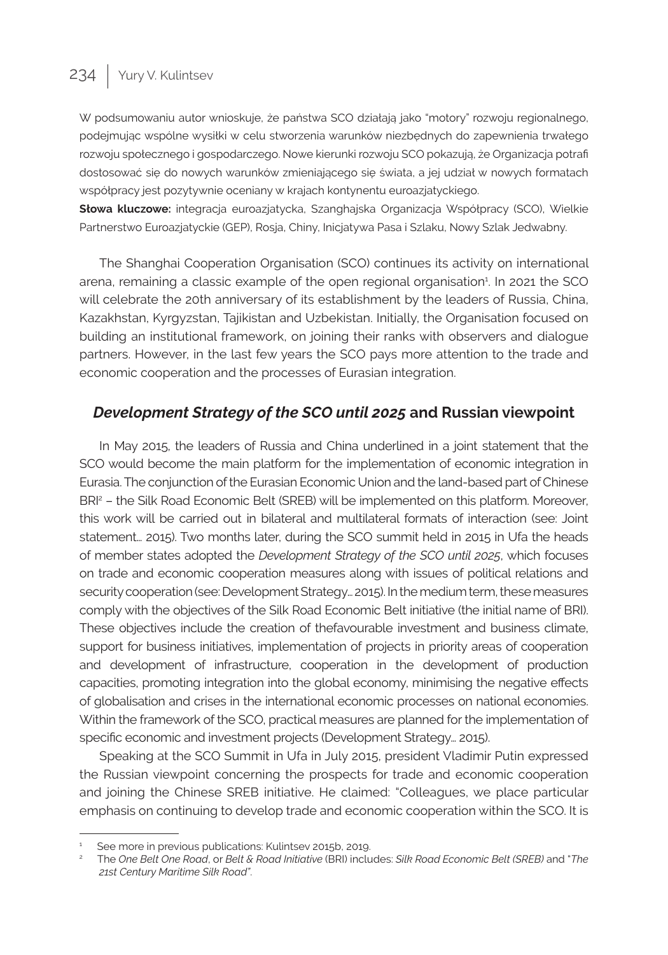# 234 | Yury V. Kulintsev

W podsumowaniu autor wnioskuje, że państwa SCO działają jako "motory" rozwoju regionalnego, podejmując wspólne wysiłki w celu stworzenia warunków niezbędnych do zapewnienia trwałego rozwoju społecznego i gospodarczego. Nowe kierunki rozwoju SCO pokazują, że Organizacja potrafi dostosować się do nowych warunków zmieniającego się świata, a jej udział w nowych formatach współpracy jest pozytywnie oceniany w krajach kontynentu euroazjatyckiego.

**Słowa kluczowe:** integracja euroazjatycka, Szanghajska Organizacja Współpracy (SCO), Wielkie Partnerstwo Euroazjatyckie (GEP), Rosja, Chiny, Inicjatywa Pasa i Szlaku, Nowy Szlak Jedwabny.

The Shanghai Cooperation Organisation (SCO) continues its activity on international arena, remaining a classic example of the open regional organisation<sup>1</sup> . In 2021 the SCO will celebrate the 20th anniversary of its establishment by the leaders of Russia, China, Kazakhstan, Kyrgyzstan, Tajikistan and Uzbekistan. Initially, the Organisation focused on building an institutional framework, on joining their ranks with observers and dialogue partners. However, in the last few years the SCO pays more attention to the trade and economic cooperation and the processes of Eurasian integration.

### *Development Strategy of the SCO until 2025* **and Russian viewpoint**

In May 2015, the leaders of Russia and China underlined in a joint statement that the SCO would become the main platform for the implementation of economic integration in Eurasia. The conjunction of the Eurasian Economic Union and the land-based part of Chinese BRI<sup>2</sup> - the Silk Road Economic Belt (SREB) will be implemented on this platform. Moreover, this work will be carried out in bilateral and multilateral formats of interaction (see: Joint statement… 2015). Two months later, during the SCO summit held in 2015 in Ufa the heads of member states adopted the *Development Strategy of the SCO until 2025*, which focuses on trade and economic cooperation measures along with issues of political relations and security cooperation (see: Development Strategy… 2015). In the medium term, these measures comply with the objectives of the Silk Road Economic Belt initiative (the initial name of BRI). These objectives include the creation of thefavourable investment and business climate, support for business initiatives, implementation of projects in priority areas of cooperation and development of infrastructure, cooperation in the development of production capacities, promoting integration into the global economy, minimising the negative effects of globalisation and crises in the international economic processes on national economies. Within the framework of the SCO, practical measures are planned for the implementation of specific economic and investment projects (Development Strategy… 2015).

Speaking at the SCO Summit in Ufa in July 2015, president Vladimir Putin expressed the Russian viewpoint concerning the prospects for trade and economic cooperation and joining the Chinese SREB initiative. He claimed: "Colleagues, we place particular emphasis on continuing to develop trade and economic cooperation within the SCO. It is

See more in previous publications: Kulintsev 2015b, 2019.

<sup>2</sup>The *One Belt One Road*, or *Belt & Road Initiative* (BRI) includes: *Silk Road Economic Belt (SREB)* and "*The 21st Century Maritime Silk Road"*.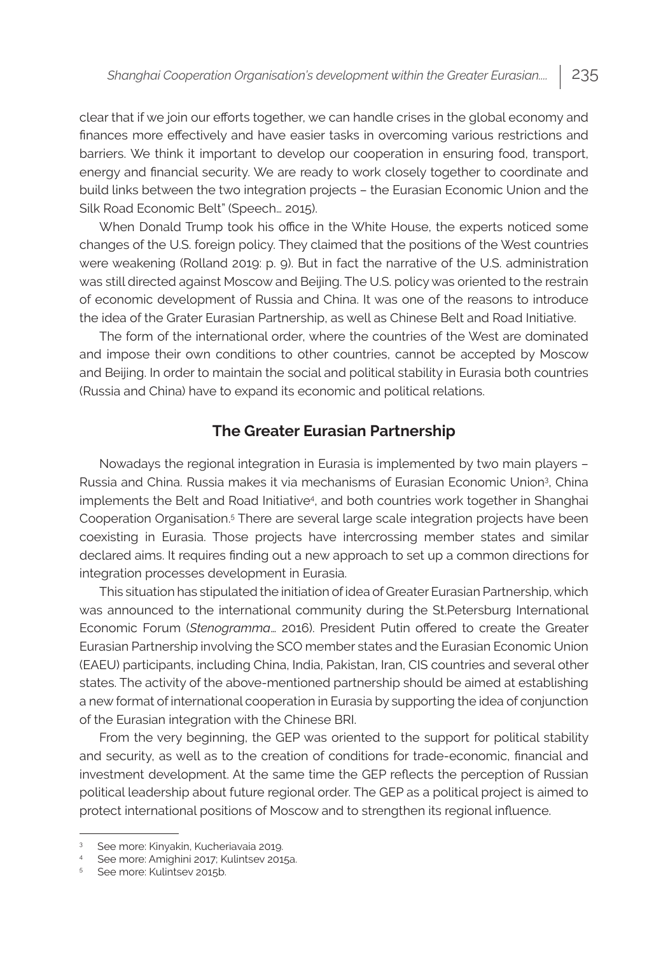clear that if we join our efforts together, we can handle crises in the global economy and finances more effectively and have easier tasks in overcoming various restrictions and barriers. We think it important to develop our cooperation in ensuring food, transport, energy and financial security. We are ready to work closely together to coordinate and build links between the two integration projects – the Eurasian Economic Union and the Silk Road Economic Belt" (Speech… 2015).

When Donald Trump took his office in the White House, the experts noticed some changes of the U.S. foreign policy. They claimed that the positions of the West countries were weakening (Rolland 2019: p. 9). But in fact the narrative of the U.S. administration was still directed against Moscow and Beijing. The U.S. policy was oriented to the restrain of economic development of Russia and China. It was one of the reasons to introduce the idea of the Grater Eurasian Partnership, as well as Chinese Belt and Road Initiative.

The form of the international order, where the countries of the West are dominated and impose their own conditions to other countries, cannot be accepted by Moscow and Beijing. In order to maintain the social and political stability in Eurasia both countries (Russia and China) have to expand its economic and political relations.

#### **The Greater Eurasian Partnership**

Nowadays the regional integration in Eurasia is implemented by two main players – Russia and China. Russia makes it via mechanisms of Eurasian Economic Union3 , China implements the Belt and Road Initiative4 , and both countries work together in Shanghai Cooperation Organisation.<sup>5</sup> There are several large scale integration projects have been coexisting in Eurasia. Those projects have intercrossing member states and similar declared aims. It requires finding out a new approach to set up a common directions for integration processes development in Eurasia.

This situation has stipulated the initiation of idea of Greater Eurasian Partnership, which was announced to the international community during the St.Petersburg International Economic Forum (*Stenogramma*… 2016). President Putin offered to create the Greater Eurasian Partnership involving the SCO member states and the Eurasian Economic Union (EAEU) participants, including China, India, Pakistan, Iran, CIS countries and several other states. The activity of the above-mentioned partnership should be aimed at establishing a new format of international cooperation in Eurasia by supporting the idea of conjunction of the Eurasian integration with the Chinese BRI.

From the very beginning, the GEP was oriented to the support for political stability and security, as well as to the creation of conditions for trade-economic, financial and investment development. At the same time the GEP reflects the perception of Russian political leadership about future regional order. The GEP as a political project is aimed to protect international positions of Moscow and to strengthen its regional influence.

<sup>3</sup>See more: Kinyakin, Kucheriavaia 2019.

<sup>4</sup>See more: Amighini 2017; Kulintsev 2015a. 5See more: Kulintsev 2015b.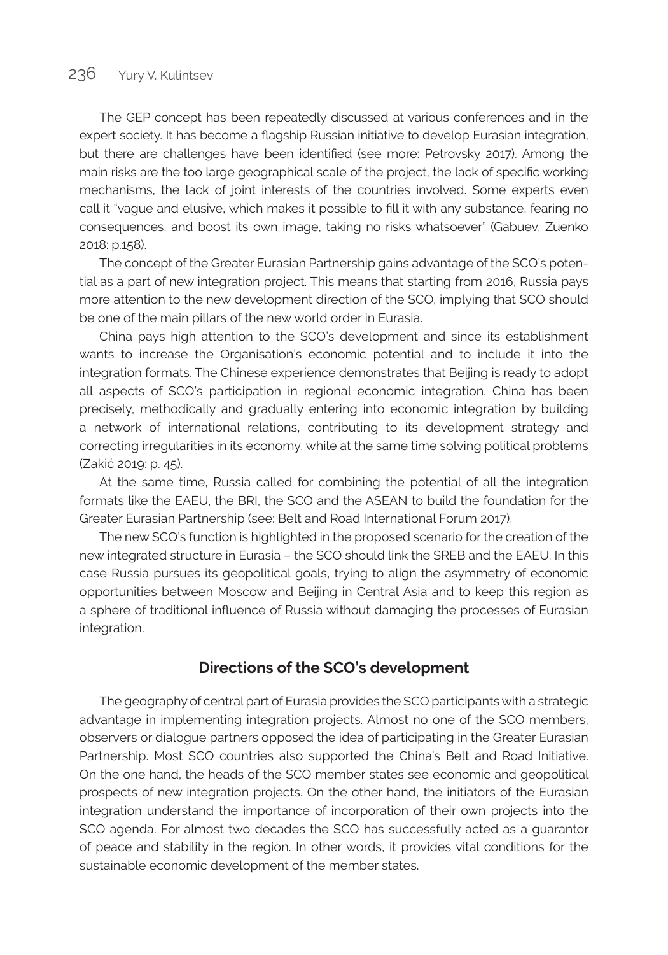# 236 | Yury V. Kulintsev

The GEP concept has been repeatedly discussed at various conferences and in the expert society. It has become a flagship Russian initiative to develop Eurasian integration, but there are challenges have been identified (see more: Petrovsky 2017). Among the main risks are the too large geographical scale of the project, the lack of specific working mechanisms, the lack of joint interests of the countries involved. Some experts even call it "vague and elusive, which makes it possible to fill it with any substance, fearing no consequences, and boost its own image, taking no risks whatsoever" (Gabuev, Zuenko 2018: p.158).

The concept of the Greater Eurasian Partnership gains advantage of the SCO's potential as a part of new integration project. This means that starting from 2016, Russia pays more attention to the new development direction of the SCO, implying that SCO should be one of the main pillars of the new world order in Eurasia.

China pays high attention to the SCO's development and since its establishment wants to increase the Organisation's economic potential and to include it into the integration formats. The Chinese experience demonstrates that Beijing is ready to adopt all aspects of SCO's participation in regional economic integration. China has been precisely, methodically and gradually entering into economic integration by building a network of international relations, contributing to its development strategy and correcting irregularities in its economy, while at the same time solving political problems (Zakić 2019: p. 45).

At the same time, Russia called for combining the potential of all the integration formats like the EAEU, the BRI, the SCO and the ASEAN to build the foundation for the Greater Eurasian Partnership (see: Belt and Road International Forum 2017).

The new SCO's function is highlighted in the proposed scenario for the creation of the new integrated structure in Eurasia – the SCO should link the SREB and the EAEU. In this case Russia pursues its geopolitical goals, trying to align the asymmetry of economic opportunities between Moscow and Beijing in Central Asia and to keep this region as a sphere of traditional influence of Russia without damaging the processes of Eurasian integration.

#### **Directions of the SCO's development**

The geography of central part of Eurasia provides the SCO participants with a strategic advantage in implementing integration projects. Almost no one of the SCO members, observers or dialogue partners opposed the idea of participating in the Greater Eurasian Partnership. Most SCO countries also supported the China's Belt and Road Initiative. On the one hand, the heads of the SCO member states see economic and geopolitical prospects of new integration projects. On the other hand, the initiators of the Eurasian integration understand the importance of incorporation of their own projects into the SCO agenda. For almost two decades the SCO has successfully acted as a guarantor of peace and stability in the region. In other words, it provides vital conditions for the sustainable economic development of the member states.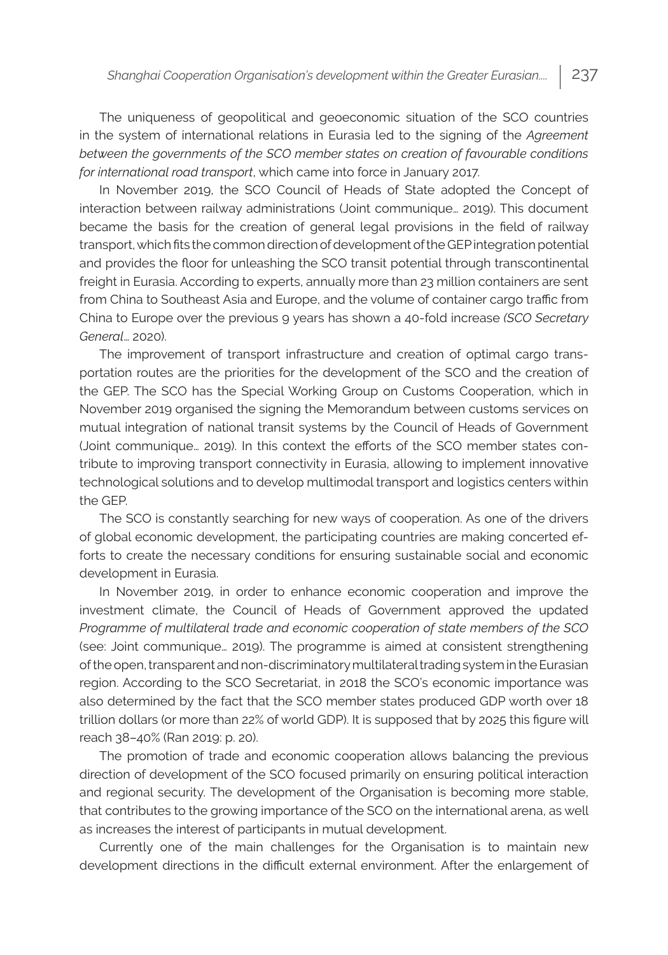The uniqueness of geopolitical and geoeconomic situation of the SCO countries in the system of international relations in Eurasia led to the signing of the *Agreement between the governments of the SCO member states on creation of favourable conditions for international road transport*, which came into force in January 2017.

In November 2019, the SCO Council of Heads of State adopted the Concept of interaction between railway administrations (Joint communique… 2019). This document became the basis for the creation of general legal provisions in the field of railway transport, which fits the common direction of development of the GEP integration potential and provides the floor for unleashing the SCO transit potential through transcontinental freight in Eurasia. According to experts, annually more than 23 million containers are sent from China to Southeast Asia and Europe, and the volume of container cargo traffic from China to Europe over the previous 9 years has shown a 40-fold increase *(SCO Secretary General*… 2020).

The improvement of transport infrastructure and creation of optimal cargo transportation routes are the priorities for the development of the SCO and the creation of the GEP. The SCO has the Special Working Group on Customs Cooperation, which in November 2019 organised the signing the Memorandum between customs services on mutual integration of national transit systems by the Council of Heads of Government (Joint communique… 2019). In this context the efforts of the SCO member states contribute to improving transport connectivity in Eurasia, allowing to implement innovative technological solutions and to develop multimodal transport and logistics centers within the GEP.

The SCO is constantly searching for new ways of cooperation. As one of the drivers of global economic development, the participating countries are making concerted efforts to create the necessary conditions for ensuring sustainable social and economic development in Eurasia.

In November 2019, in order to enhance economic cooperation and improve the investment climate, the Council of Heads of Government approved the updated *Programme of multilateral trade and economic cooperation of state members of the SCO*  (see: Joint communique… 2019). The programme is aimed at consistent strengthening of the open, transparent and non-discriminatory multilateral trading system in the Eurasian region. According to the SCO Secretariat, in 2018 the SCO's economic importance was also determined by the fact that the SCO member states produced GDP worth over 18 trillion dollars (or more than 22% of world GDP). It is supposed that by 2025 this figure will reach 38–40% (Ran 2019: p. 20).

The promotion of trade and economic cooperation allows balancing the previous direction of development of the SCO focused primarily on ensuring political interaction and regional security. The development of the Organisation is becoming more stable, that contributes to the growing importance of the SCO on the international arena, as well as increases the interest of participants in mutual development.

Currently one of the main challenges for the Organisation is to maintain new development directions in the difficult external environment. After the enlargement of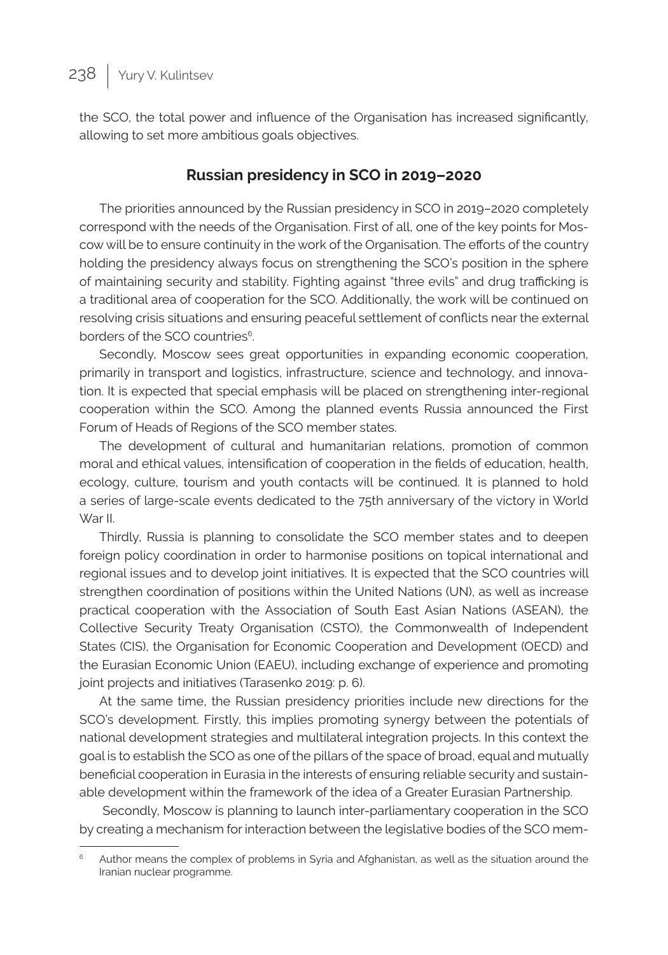the SCO, the total power and influence of the Organisation has increased significantly, allowing to set more ambitious goals objectives.

## **Russian presidency in SCO in 2019–2020**

The priorities announced by the Russian presidency in SCO in 2019–2020 completely correspond with the needs of the Organisation. First of all, one of the key points for Moscow will be to ensure continuity in the work of the Organisation. The efforts of the country holding the presidency always focus on strengthening the SCO's position in the sphere of maintaining security and stability. Fighting against "three evils" and drug trafficking is a traditional area of cooperation for the SCO. Additionally, the work will be continued on resolving crisis situations and ensuring peaceful settlement of conflicts near the external borders of the SCO countries<sup>6</sup>.

Secondly, Moscow sees great opportunities in expanding economic cooperation, primarily in transport and logistics, infrastructure, science and technology, and innovation. It is expected that special emphasis will be placed on strengthening inter-regional cooperation within the SCO. Among the planned events Russia announced the First Forum of Heads of Regions of the SCO member states.

The development of cultural and humanitarian relations, promotion of common moral and ethical values, intensification of cooperation in the fields of education, health, ecology, culture, tourism and youth contacts will be continued. It is planned to hold a series of large-scale events dedicated to the 75th anniversary of the victory in World War II.

Thirdly, Russia is planning to consolidate the SCO member states and to deepen foreign policy coordination in order to harmonise positions on topical international and regional issues and to develop joint initiatives. It is expected that the SCO countries will strengthen coordination of positions within the United Nations (UN), as well as increase practical cooperation with the Association of South East Asian Nations (ASEAN), the Collective Security Treaty Organisation (CSTO), the Commonwealth of Independent States (CIS), the Organisation for Economic Cooperation and Development (OECD) and the Eurasian Economic Union (EAEU), including exchange of experience and promoting joint projects and initiatives (Tarasenko 2019: p. 6).

At the same time, the Russian presidency priorities include new directions for the SCO's development. Firstly, this implies promoting synergy between the potentials of national development strategies and multilateral integration projects. In this context the goal is to establish the SCO as one of the pillars of the space of broad, equal and mutually beneficial cooperation in Eurasia in the interests of ensuring reliable security and sustainable development within the framework of the idea of a Greater Eurasian Partnership.

 Secondly, Moscow is planning to launch inter-parliamentary cooperation in the SCO by creating a mechanism for interaction between the legislative bodies of the SCO mem-

Author means the complex of problems in Syria and Afghanistan, as well as the situation around the Iranian nuclear programme.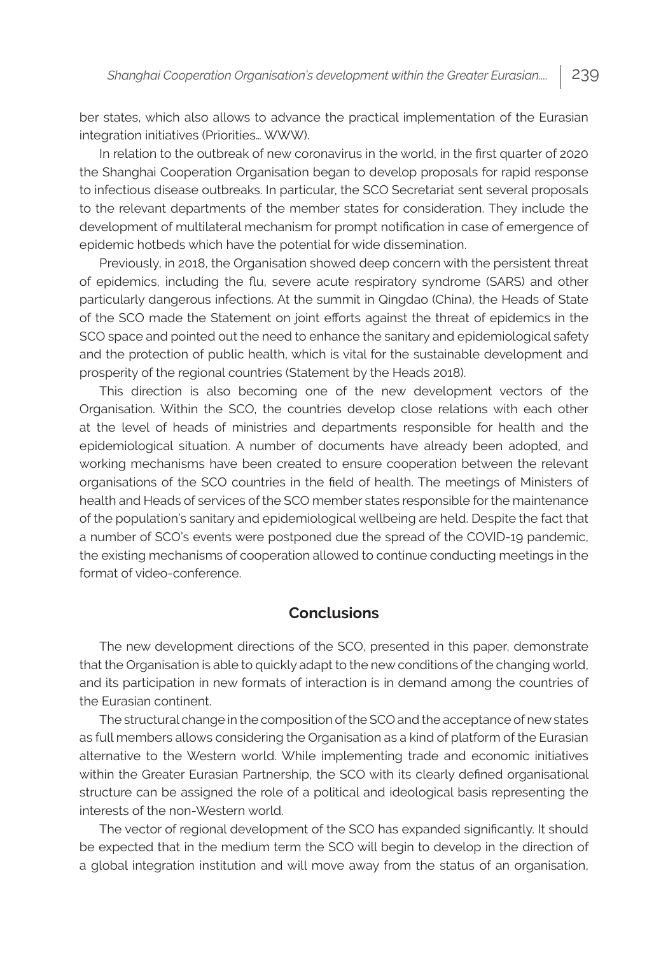ber states, which also allows to advance the practical implementation of the Eurasian integration initiatives (Priorities… WWW).

In relation to the outbreak of new coronavirus in the world, in the first quarter of 2020 the Shanghai Cooperation Organisation began to develop proposals for rapid response to infectious disease outbreaks. In particular, the SCO Secretariat sent several proposals to the relevant departments of the member states for consideration. They include the development of multilateral mechanism for prompt notification in case of emergence of epidemic hotbeds which have the potential for wide dissemination.

Previously, in 2018, the Organisation showed deep concern with the persistent threat of epidemics, including the flu, severe acute respiratory syndrome (SARS) and other particularly dangerous infections. At the summit in Qingdao (China), the Heads of State of the SCO made the Statement on joint efforts against the threat of epidemics in the SCO space and pointed out the need to enhance the sanitary and epidemiological safety and the protection of public health, which is vital for the sustainable development and prosperity of the regional countries (Statement by the Heads 2018).

This direction is also becoming one of the new development vectors of the Organisation. Within the SCO, the countries develop close relations with each other at the level of heads of ministries and departments responsible for health and the epidemiological situation. A number of documents have already been adopted, and working mechanisms have been created to ensure cooperation between the relevant organisations of the SCO countries in the field of health. The meetings of Ministers of health and Heads of services of the SCO member states responsible for the maintenance of the population's sanitary and epidemiological wellbeing are held. Despite the fact that a number of SCO's events were postponed due the spread of the COVID-19 pandemic, the existing mechanisms of cooperation allowed to continue conducting meetings in the format of video-conference.

#### **Conclusions**

The new development directions of the SCO, presented in this paper, demonstrate that the Organisation is able to quickly adapt to the new conditions of the changing world, and its participation in new formats of interaction is in demand among the countries of the Eurasian continent.

The structural change in the composition of the SCO and the acceptance of new states as full members allows considering the Organisation as a kind of platform of the Eurasian alternative to the Western world. While implementing trade and economic initiatives within the Greater Eurasian Partnership, the SCO with its clearly defined organisational structure can be assigned the role of a political and ideological basis representing the interests of the non-Western world.

The vector of regional development of the SCO has expanded significantly. It should be expected that in the medium term the SCO will begin to develop in the direction of a global integration institution and will move away from the status of an organisation,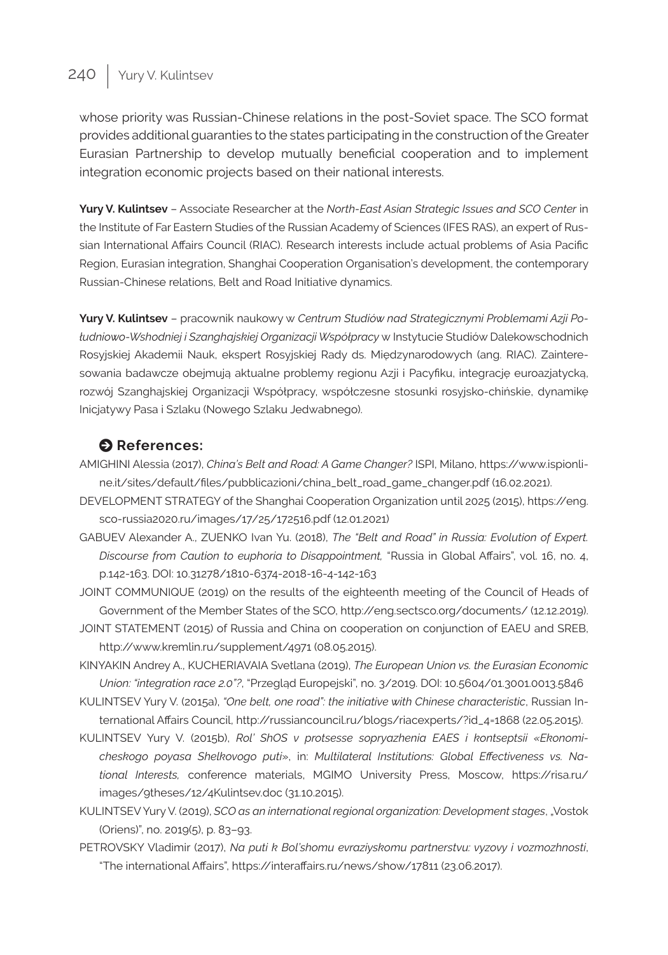## 240 | Yury V. Kulintsev

whose priority was Russian-Chinese relations in the post-Soviet space. The SCO format provides additional guaranties to the states participating in the construction of the Greater Eurasian Partnership to develop mutually beneficial cooperation and to implement integration economic projects based on their national interests.

**Yury V. Kulintsev** – Associate Researcher at the *North-East Asian Strategic Issues and SCO Center* in the Institute of Far Eastern Studies of the Russian Academy of Sciences (IFES RAS), an expert of Russian International Affairs Council (RIAC). Research interests include actual problems of Asia Pacific Region, Eurasian integration, Shanghai Cooperation Organisation's development, the contemporary Russian-Chinese relations, Belt and Road Initiative dynamics.

**Yury V. Kulintsev** – pracownik naukowy w *Centrum Studiów nad Strategicznymi Problemami Azji Południowo-Wshodniej i Szanghajskiej Organizacji Współpracy* w Instytucie Studiów Dalekowschodnich Rosyjskiej Akademii Nauk, ekspert Rosyjskiej Rady ds. Międzynarodowych (ang. RIAC). Zainteresowania badawcze obejmują aktualne problemy regionu Azji i Pacyfiku, integrację euroazjatycką, rozwój Szanghajskiej Organizacji Współpracy, współczesne stosunki rosyjsko-chińskie, dynamikę Inicjatywy Pasa i Szlaku (Nowego Szlaku Jedwabnego).

#### $\bullet$  References:

- AMIGHINI Alessia (2017), *China's Belt and Road: A Game Changer?* ISPI, Milano, https://www.ispionline.it/sites/default/files/pubblicazioni/china\_belt\_road\_game\_changer.pdf (16.02.2021).
- DEVELOPMENT STRATEGY of the Shanghai Cooperation Organization until 2025 (2015), https://eng. sco-russia2020.ru/images/17/25/172516.pdf (12.01.2021)
- GABUEV Alexander A., ZUENKO Ivan Yu. (2018), *The "Belt and Road" in Russia: Evolution of Expert. Discourse from Caution to euphoria to Disappointment,* "Russia in Global Affairs", vol. 16, no. 4, p.142-163. DOI: 10.31278/1810-6374-2018-16-4-142-163
- JOINT COMMUNIQUE (2019) on the results of the eighteenth meeting of the Council of Heads of Government of the Member States of the SCO, http://eng.sectsco.org/documents/ (12.12.2019).
- JOINT STATEMENT (2015) of Russia and China on cooperation on conjunction of EAEU and SREB, http://www.kremlin.ru/supplement/4971 (08.05.2015).
- KINYAKIN Andrey A., KUCHERIAVAIA Svetlana (2019), *The European Union vs. the Eurasian Economic Union: "integration race 2.0"?*, "Przegląd Europejski", no. 3/2019. DOI: 10.5604/01.3001.0013.5846
- KULINTSEV Yury V. (2015a), *"One belt, one road": the initiative with Chinese characteristic*, Russian International Affairs Council, http://russiancouncil.ru/blogs/riacexperts/?id\_4=1868 (22.05.2015).
- KULINTSEV Yury V. (2015b), *Rol' ShOS v protsesse sopryazhenia EAES i kontseptsii «Ekonomicheskogo poyasa Shelkovogo puti*», in: *Multilateral Institutions: Global Effectiveness vs. National Interests,* conference materials, MGIMO University Press, Moscow, https://risa.ru/ images/9theses/12/4Kulintsev.doc (31.10.2015).
- KULINTSEV Yury V. (2019), *SCO as an international regional organization: Development stages*, "Vostok (Oriens)", no. 2019(5), p. 83–93.
- PETROVSKY Vladimir (2017), *Na puti k Bol'shomu evraziyskomu partnerstvu: vyzovy i vozmozhnosti*, "The international Affairs", https://interaffairs.ru/news/show/17811 (23.06.2017).